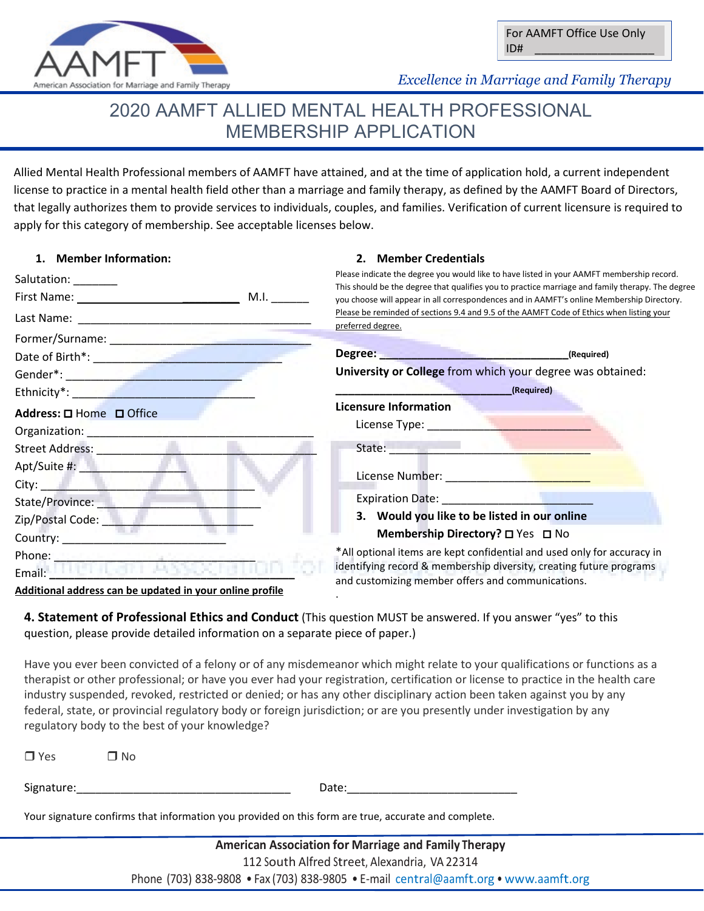

 *Excellence in Marriage and Family Therapy*

# 2020 AAMFT ALLIED MENTAL HEALTH PROFESSIONAL MEMBERSHIP APPLICATION

Allied Mental Health Professional members of AAMFT have attained, and at the time of application hold, a current independent license to practice in a mental health field other than a marriage and family therapy, as defined by the AAMFT Board of Directors, that legally authorizes them to provide services to individuals, couples, and families. Verification of current licensure is required to apply for this category of membership. See acceptable licenses below.

**2. Member Credentials**

# **1. Member Information:**

| Salutation: ________                                                                                                                                                                                                           | Please indicate the degree you would like to have listed in your AAMFT membership record.                                                                                                                                      |
|--------------------------------------------------------------------------------------------------------------------------------------------------------------------------------------------------------------------------------|--------------------------------------------------------------------------------------------------------------------------------------------------------------------------------------------------------------------------------|
|                                                                                                                                                                                                                                | This should be the degree that qualifies you to practice marriage and family therapy. The degree                                                                                                                               |
|                                                                                                                                                                                                                                | you choose will appear in all correspondences and in AAMFT's online Membership Directory.<br>Please be reminded of sections 9.4 and 9.5 of the AAMFT Code of Ethics when listing your                                          |
| Former/Surname: New York Processes and Survey of the Contractor                                                                                                                                                                | preferred degree.                                                                                                                                                                                                              |
|                                                                                                                                                                                                                                |                                                                                                                                                                                                                                |
|                                                                                                                                                                                                                                | University or College from which your degree was obtained:                                                                                                                                                                     |
| Ethnicity*: <b>Example 2018</b>                                                                                                                                                                                                | (Required)                                                                                                                                                                                                                     |
| Address: $\square$ Home $\square$ Office                                                                                                                                                                                       | <b>Licensure Information</b>                                                                                                                                                                                                   |
| Organization: New York 1997                                                                                                                                                                                                    | License Type: The Contract of the Contract of the Contract of the Contract of the Contract of the Contract of                                                                                                                  |
| Street Address: The Contract of the Contract of the Contract of the Contract of the Contract of the Contract of the Contract of the Contract of the Contract of the Contract of the Contract of the Contract of the Contract o | State: the contract of the contract of the contract of the contract of the contract of the contract of the contract of the contract of the contract of the contract of the contract of the contract of the contract of the con |
| Apt/Suite #: New York Public Property                                                                                                                                                                                          |                                                                                                                                                                                                                                |
| City: City: City: City: City: City: City: City: City: City: City: City: City: City: City: City: City: City: City: City: City: City: City: City: City: City: City: City: City: City: City: City: City: City: City: City: City:  | License Number: National Assembly 2014                                                                                                                                                                                         |
| State/Province:                                                                                                                                                                                                                | Expiration Date: Note: Note: Note: Note: Note: Note: Note: Note: Note: Note: Note: Note: Note: Note: Note: Not                                                                                                                 |
| Zip/Postal Code: ________                                                                                                                                                                                                      | 3. Would you like to be listed in our online                                                                                                                                                                                   |
|                                                                                                                                                                                                                                | Membership Directory? □ Yes □ No                                                                                                                                                                                               |
|                                                                                                                                                                                                                                | *All optional items are kept confidential and used only for accuracy in                                                                                                                                                        |
| Email: Hall Hall Park A                                                                                                                                                                                                        | identifying record & membership diversity, creating future programs                                                                                                                                                            |
|                                                                                                                                                                                                                                | and customizing member offers and communications.                                                                                                                                                                              |

**Additional address can be updated in your online profile**

**4. Statement of Professional Ethics and Conduct** (This question MUST be answered. If you answer "yes" to this question, please provide detailed information on a separate piece of paper.)

.

Have you ever been convicted of a felony or of any misdemeanor which might relate to your qualifications or functions as a therapist or other professional; or have you ever had your registration, certification or license to practice in the health care industry suspended, revoked, restricted or denied; or has any other disciplinary action been taken against you by any federal, state, or provincial regulatory body or foreign jurisdiction; or are you presently under investigation by any regulatory body to the best of your knowledge?

| $\Box$ Yes                                                                                          | $\Box$ No |       |  |  |  |  |
|-----------------------------------------------------------------------------------------------------|-----------|-------|--|--|--|--|
| Signature:                                                                                          |           | Date: |  |  |  |  |
| Your signature confirms that information you provided on this form are true, accurate and complete. |           |       |  |  |  |  |